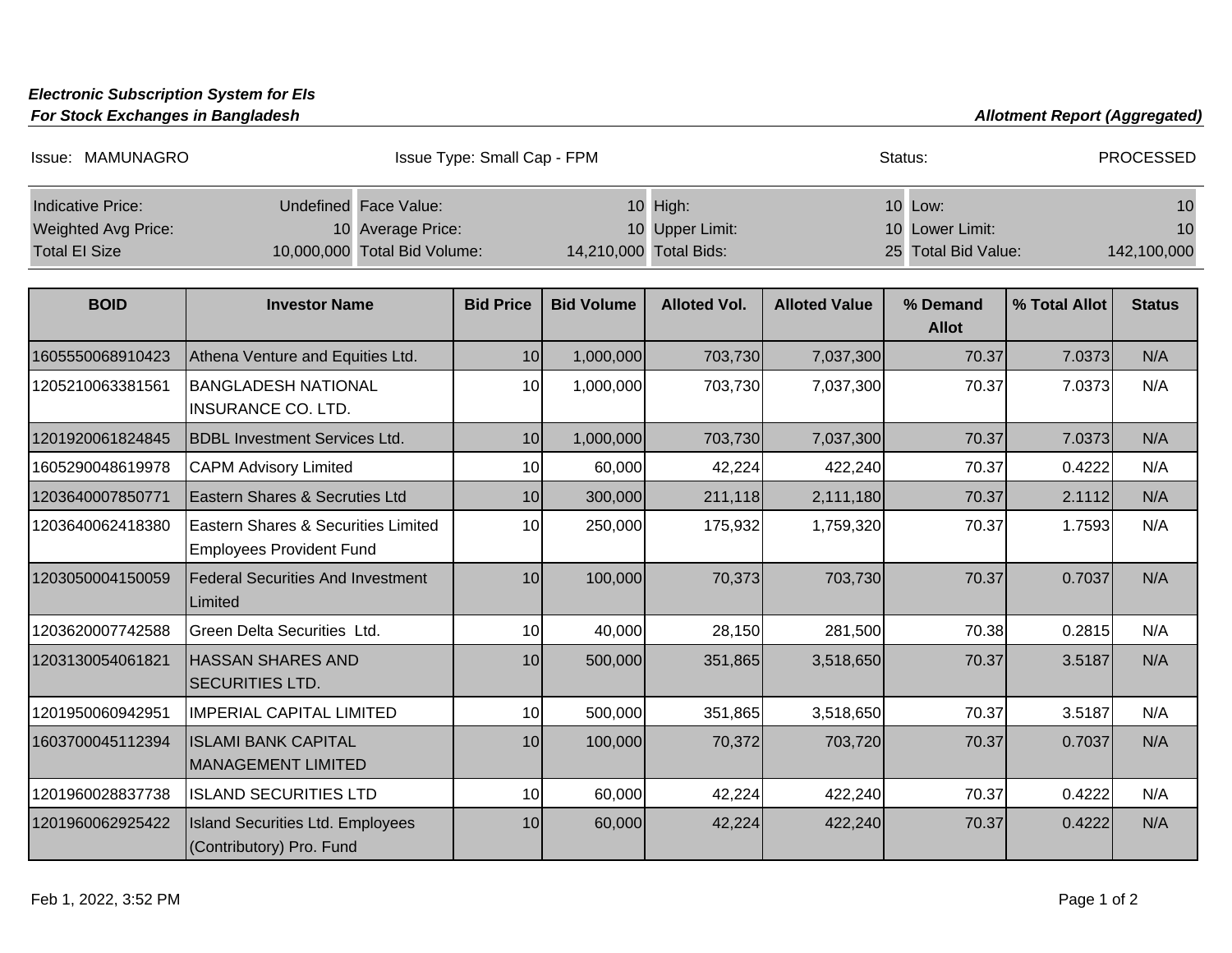## **Electronic Subscription System for EIs**

**For Stock Exchanges in Bangladesh** 

| <b>Allotment Report (Aggregated)</b> |  |  |  |
|--------------------------------------|--|--|--|
|--------------------------------------|--|--|--|

| Issue: MAMUNAGRO                                                        |                                                                            | Issue Type: Small Cap - FPM |                   |                                                       |                      | Status:                                           |               | <b>PROCESSED</b>        |
|-------------------------------------------------------------------------|----------------------------------------------------------------------------|-----------------------------|-------------------|-------------------------------------------------------|----------------------|---------------------------------------------------|---------------|-------------------------|
| <b>Indicative Price:</b><br>Weighted Avg Price:<br><b>Total El Size</b> | Undefined Face Value:<br>10 Average Price:<br>10,000,000 Total Bid Volume: |                             |                   | 10 High:<br>10 Upper Limit:<br>14,210,000 Total Bids: |                      | 10 Low:<br>10 Lower Limit:<br>25 Total Bid Value: |               | 10<br>10<br>142,100,000 |
| <b>BOID</b>                                                             | <b>Investor Name</b>                                                       | <b>Bid Price</b>            | <b>Bid Volume</b> | <b>Alloted Vol.</b>                                   | <b>Alloted Value</b> | % Demand<br><b>Allot</b>                          | % Total Allot | <b>Status</b>           |
| 1605550068910423                                                        | Athena Venture and Equities Ltd.                                           | 10                          | 1,000,000         | 703,730                                               | 7,037,300            | 70.37                                             | 7.0373        | N/A                     |
| 1205210063381561                                                        | <b>BANGLADESH NATIONAL</b><br><b>INSURANCE CO. LTD.</b>                    | 10                          | 1,000,000         | 703,730                                               | 7,037,300            | 70.37                                             | 7.0373        | N/A                     |
| 1201920061824845                                                        | <b>BDBL Investment Services Ltd.</b>                                       | 10                          | 1,000,000         | 703,730                                               | 7,037,300            | 70.37                                             | 7.0373        | N/A                     |
| 1605290048619978                                                        | <b>CAPM Advisory Limited</b>                                               | 10                          | 60,000            | 42,224                                                | 422,240              | 70.37                                             | 0.4222        | N/A                     |
| 1203640007850771                                                        | Eastern Shares & Secruties Ltd                                             | 10                          | 300,000           | 211,118                                               | 2,111,180            | 70.37                                             | 2.1112        | N/A                     |
| 1203640062418380                                                        | Eastern Shares & Securities Limited<br><b>Employees Provident Fund</b>     | 10                          | 250,000           | 175,932                                               | 1,759,320            | 70.37                                             | 1.7593        | N/A                     |
| 1203050004150059                                                        | <b>Federal Securities And Investment</b><br>Limited                        | 10                          | 100,000           | 70,373                                                | 703,730              | 70.37                                             | 0.7037        | N/A                     |
| 1203620007742588                                                        | Green Delta Securities Ltd.                                                | 10                          | 40,000            | 28,150                                                | 281,500              | 70.38                                             | 0.2815        | N/A                     |
| 1203130054061821                                                        | <b>HASSAN SHARES AND</b><br><b>SECURITIES LTD.</b>                         | 10                          | 500,000           | 351,865                                               | 3,518,650            | 70.37                                             | 3.5187        | N/A                     |
| 1201950060942951                                                        | <b>IMPERIAL CAPITAL LIMITED</b>                                            | 10                          | 500,000           | 351,865                                               | 3,518,650            | 70.37                                             | 3.5187        | N/A                     |
| 1603700045112394                                                        | <b>ISLAMI BANK CAPITAL</b><br><b>MANAGEMENT LIMITED</b>                    | 10                          | 100,000           | 70,372                                                | 703,720              | 70.37                                             | 0.7037        | N/A                     |
| 1201960028837738                                                        | <b>ISLAND SECURITIES LTD</b>                                               | 10                          | 60,000            | 42,224                                                | 422,240              | 70.37                                             | 0.4222        | N/A                     |
| 1201960062925422                                                        | <b>Island Securities Ltd. Employees</b><br>(Contributory) Pro. Fund        | 10                          | 60,000            | 42,224                                                | 422,240              | 70.37                                             | 0.4222        | N/A                     |